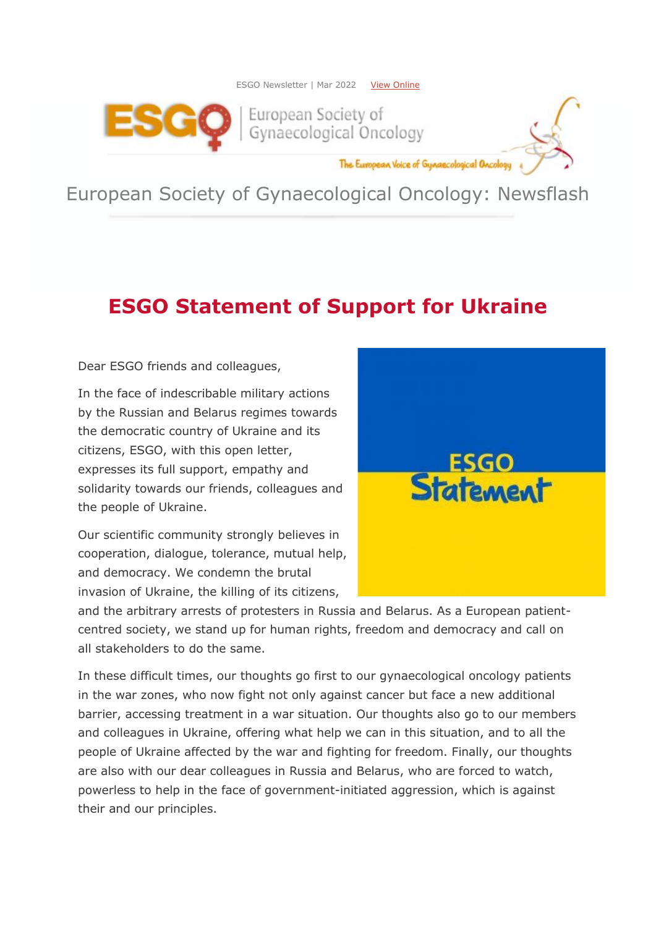



The European Voice of Gynaecological Oncology

European Society of Gynaecological Oncology: Newsflash

## **ESGO Statement of Support for Ukraine**

Dear ESGO friends and colleagues,

In the face of indescribable military actions by the Russian and Belarus regimes towards the democratic country of Ukraine and its citizens, ESGO, with this open letter, expresses its full support, empathy and solidarity towards our friends, colleagues and the people of Ukraine.

Our scientific community strongly believes in cooperation, dialogue, tolerance, mutual help, and democracy. We condemn the brutal invasion of Ukraine, the killing of its citizens,



and the arbitrary arrests of protesters in Russia and Belarus. As a European patientcentred society, we stand up for human rights, freedom and democracy and call on all stakeholders to do the same.

In these difficult times, our thoughts go first to our gynaecological oncology patients in the war zones, who now fight not only against cancer but face a new additional barrier, accessing treatment in a war situation. Our thoughts also go to our members and colleagues in Ukraine, offering what help we can in this situation, and to all the people of Ukraine affected by the war and fighting for freedom. Finally, our thoughts are also with our dear colleagues in Russia and Belarus, who are forced to watch, powerless to help in the face of government-initiated aggression, which is against their and our principles.